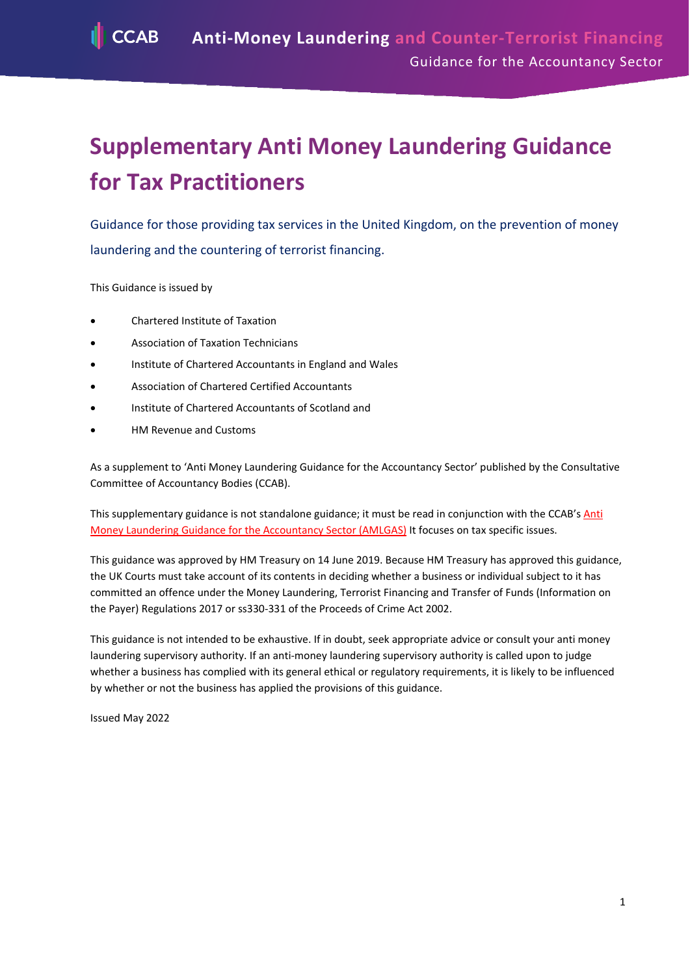

# **Supplementary Anti Money Laundering Guidance for Tax Practitioners**

Guidance for those providing tax services in the United Kingdom, on the prevention of money laundering and the countering of terrorist financing.

This Guidance is issued by

- Chartered Institute of Taxation
- Association of Taxation Technicians
- Institute of Chartered Accountants in England and Wales
- Association of Chartered Certified Accountants
- Institute of Chartered Accountants of Scotland and
- HM Revenue and Customs

As a supplement to 'Anti Money Laundering Guidance for the Accountancy Sector' published by the Consultative Committee of Accountancy Bodies (CCAB).

This supplementary guidance is not standalone guidance; it must be read in conjunction with the CCAB'[s Anti](https://www.ccab.org.uk/wp-content/uploads/2022/05/AMLGAS-Final-Guidance-2022-1.pdf)  [Money Laundering Guidance for the Accountancy Sector \(AMLGAS\)](https://www.ccab.org.uk/wp-content/uploads/2022/05/AMLGAS-Final-Guidance-2022-1.pdf) It focuses on tax specific issues.

This guidance was approved by HM Treasury on 14 June 2019. Because HM Treasury has approved this guidance, the UK Courts must take account of its contents in deciding whether a business or individual subject to it has committed an offence under the Money Laundering, Terrorist Financing and Transfer of Funds (Information on the Payer) Regulations 2017 or ss330-331 of the Proceeds of Crime Act 2002.

This guidance is not intended to be exhaustive. If in doubt, seek appropriate advice or consult your anti money laundering supervisory authority. If an anti-money laundering supervisory authority is called upon to judge whether a business has complied with its general ethical or regulatory requirements, it is likely to be influenced by whether or not the business has applied the provisions of this guidance.

Issued May 2022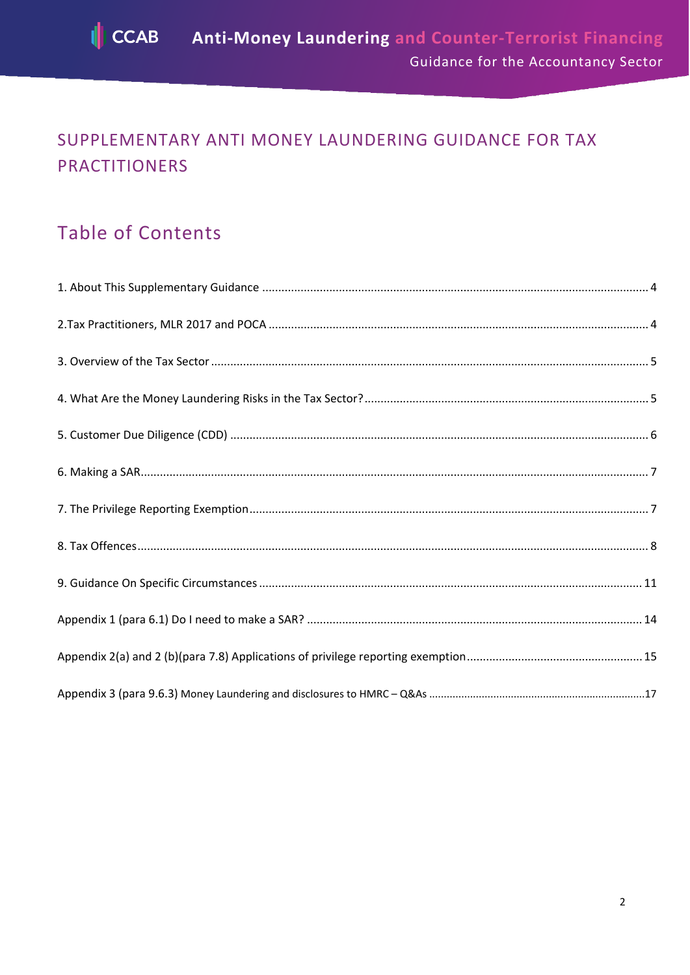# SUPPLEMENTARY ANTI MONEY LAUNDERING GUIDANCE FOR TAX **PRACTITIONERS**

# **Table of Contents**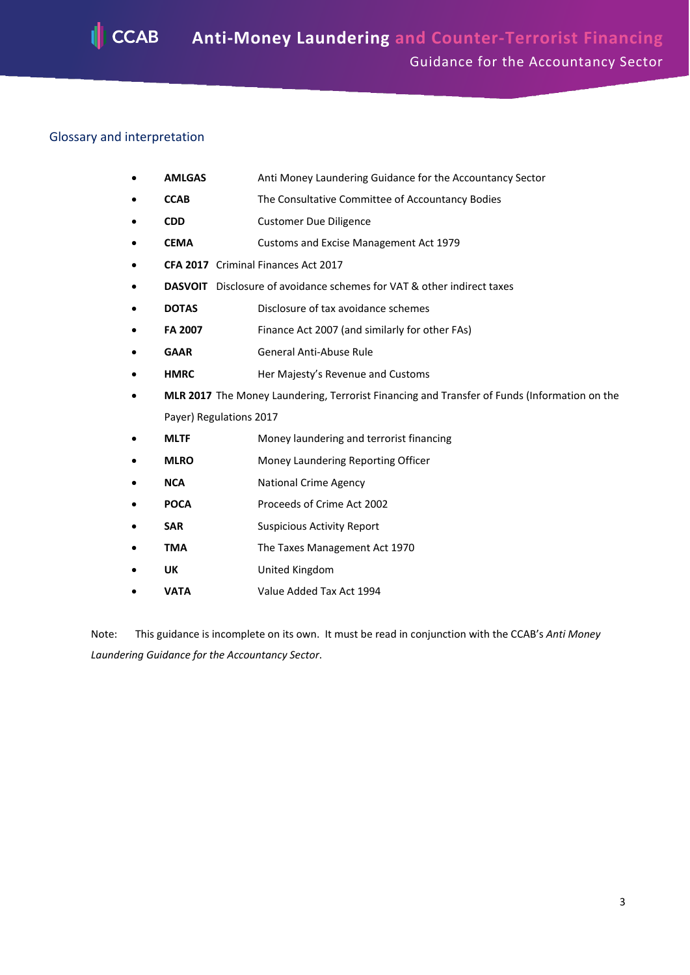# Glossary and interpretation

- **AMLGAS** Anti Money Laundering Guidance for the Accountancy Sector
- **CCAB** The Consultative Committee of Accountancy Bodies
- **CDD** Customer Due Diligence
- **CEMA** Customs and Excise Management Act 1979
- **CFA 2017** Criminal Finances Act 2017
- **DASVOIT** Disclosure of avoidance schemes for VAT & other indirect taxes
- **DOTAS** Disclosure of tax avoidance schemes
- **FA 2007** Finance Act 2007 (and similarly for other FAs)
- GAAR **GENER GENERAL GENERAL GENERAL GENERAL GENERAL GENERAL GENERAL GENERAL GENERAL GENERAL GENERAL GENERAL GENERAL GENERAL GENERAL GENERAL GENERAL GENERAL GENERAL GENERAL GENERAL GENERAL GENERAL GENERAL GENERAL GENERAL GE**
- **HMRC** Her Majesty's Revenue and Customs
- **MLR 2017** The Money Laundering, Terrorist Financing and Transfer of Funds (Information on the Payer) Regulations 2017
- **MLTF** Money laundering and terrorist financing
- **MLRO Money Laundering Reporting Officer**
- **NCA** National Crime Agency
- **POCA** Proceeds of Crime Act 2002
- **SAR** Suspicious Activity Report
- **TMA** The Taxes Management Act 1970
- **UK** United Kingdom
- **VATA** Value Added Tax Act 1994

Note: This guidance is incomplete on its own. It must be read in conjunction with the CCAB's *Anti Money Laundering Guidance for the Accountancy Sector*.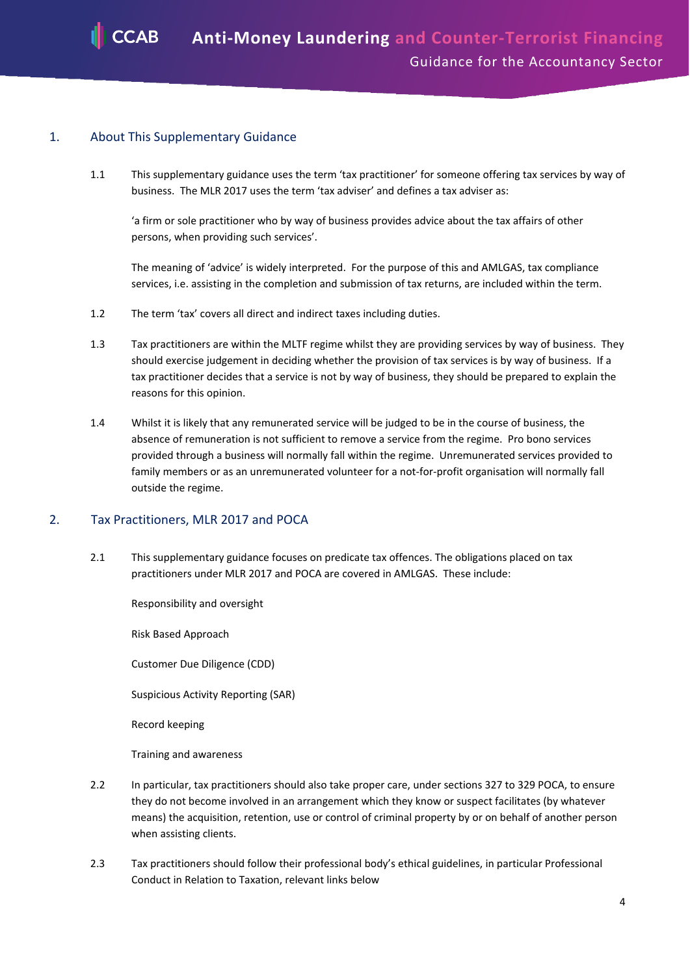# <span id="page-3-0"></span>1. About This Supplementary Guidance

1.1 This supplementary guidance uses the term 'tax practitioner' for someone offering tax services by way of business. The MLR 2017 uses the term 'tax adviser' and defines a tax adviser as:

'a firm or sole practitioner who by way of business provides advice about the tax affairs of other persons, when providing such services'.

The meaning of 'advice' is widely interpreted. For the purpose of this and AMLGAS, tax compliance services, i.e. assisting in the completion and submission of tax returns, are included within the term.

- 1.2 The term 'tax' covers all direct and indirect taxes including duties.
- 1.3 Tax practitioners are within the MLTF regime whilst they are providing services by way of business. They should exercise judgement in deciding whether the provision of tax services is by way of business. If a tax practitioner decides that a service is not by way of business, they should be prepared to explain the reasons for this opinion.
- 1.4 Whilst it is likely that any remunerated service will be judged to be in the course of business, the absence of remuneration is not sufficient to remove a service from the regime. Pro bono services provided through a business will normally fall within the regime. Unremunerated services provided to family members or as an unremunerated volunteer for a not-for-profit organisation will normally fall outside the regime.

#### <span id="page-3-1"></span>2. Tax Practitioners, MLR 2017 and POCA

2.1 This supplementary guidance focuses on predicate tax offences. The obligations placed on tax practitioners under MLR 2017 and POCA are covered in AMLGAS. These include:

Responsibility and oversight

Risk Based Approach

Customer Due Diligence (CDD)

Suspicious Activity Reporting (SAR)

Record keeping

Training and awareness

- 2.2 In particular, tax practitioners should also take proper care, under sections 327 to 32[9 POCA,](https://www.legislation.gov.uk/ukpga/2002/29/part/7) to ensure they do not become involved in an arrangement which they know or suspect facilitates (by whatever means) the acquisition, retention, use or control of criminal property by or on behalf of another person when assisting clients.
- 2.3 Tax practitioners should follow their professional body's ethical guidelines, in particular Professional Conduct in Relation to Taxation, relevant links below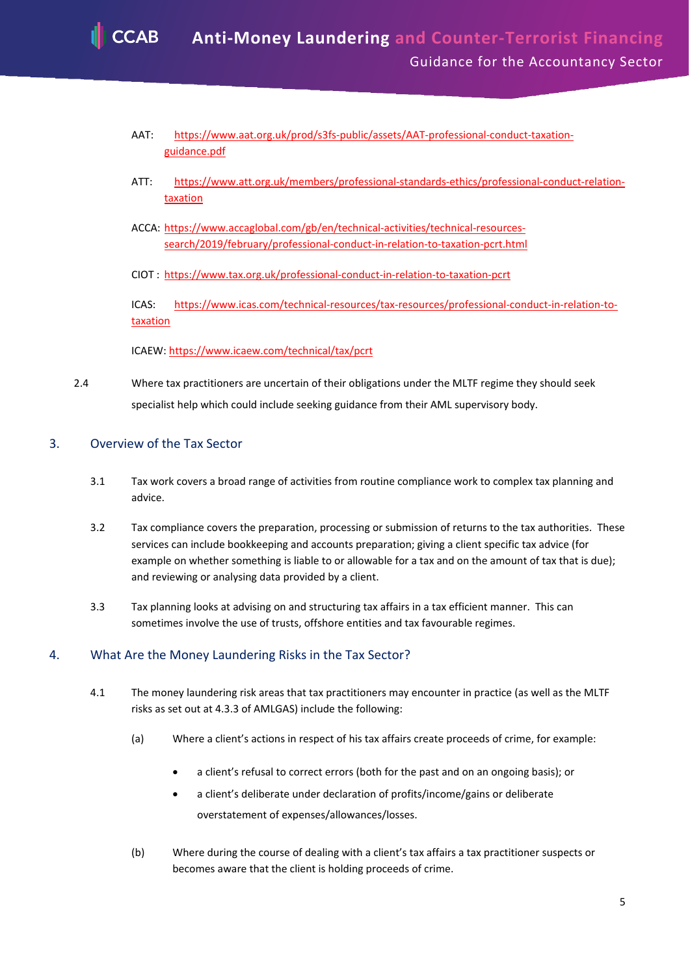

- AAT: [https://www.aat.org.uk/prod/s3fs-public/assets/AAT-professional-conduct-taxation](https://www.aat.org.uk/prod/s3fs-public/assets/AAT-professional-conduct-taxation-guidance.pdf)[guidance.pdf](https://www.aat.org.uk/prod/s3fs-public/assets/AAT-professional-conduct-taxation-guidance.pdf)
- ATT: [https://www.att.org.uk/members/professional-standards-ethics/professional-conduct-relation](https://www.att.org.uk/members/professional-standards-ethics/professional-conduct-relation-taxation)[taxation](https://www.att.org.uk/members/professional-standards-ethics/professional-conduct-relation-taxation)
- ACCA: [https://www.accaglobal.com/gb/en/technical-activities/technical-resources](https://www.accaglobal.com/gb/en/technical-activities/technical-resources-search/2019/february/professional-conduct-in-relation-to-taxation-pcrt.html)[search/2019/february/professional-conduct-in-relation-to-taxation-pcrt.html](https://www.accaglobal.com/gb/en/technical-activities/technical-resources-search/2019/february/professional-conduct-in-relation-to-taxation-pcrt.html)

CIOT :<https://www.tax.org.uk/professional-conduct-in-relation-to-taxation-pcrt>

ICAS: [https://www.icas.com/technical-resources/tax-resources/professional-conduct-in-relation-to](https://www.icas.com/technical-resources/tax-resources/professional-conduct-in-relation-to-taxation)[taxation](https://www.icas.com/technical-resources/tax-resources/professional-conduct-in-relation-to-taxation)

ICAEW:<https://www.icaew.com/technical/tax/pcrt>

2.4 Where tax practitioners are uncertain of their obligations under the MLTF regime they should seek specialist help which could include seeking guidance from their AML supervisory body.

### <span id="page-4-0"></span>3. Overview of the Tax Sector

- 3.1 Tax work covers a broad range of activities from routine compliance work to complex tax planning and advice.
- 3.2 Tax compliance covers the preparation, processing or submission of returns to the tax authorities. These services can include bookkeeping and accounts preparation; giving a client specific tax advice (for example on whether something is liable to or allowable for a tax and on the amount of tax that is due); and reviewing or analysing data provided by a client.
- 3.3 Tax planning looks at advising on and structuring tax affairs in a tax efficient manner. This can sometimes involve the use of trusts, offshore entities and tax favourable regimes.

#### <span id="page-4-1"></span>4. What Are the Money Laundering Risks in the Tax Sector?

- 4.1 The money laundering risk areas that tax practitioners may encounter in practice (as well as the MLTF risks as set out at 4.3.3 of AMLGAS) include the following:
	- (a) Where a client's actions in respect of his tax affairs create proceeds of crime, for example:
		- a client's refusal to correct errors (both for the past and on an ongoing basis); or
		- a client's deliberate under declaration of profits/income/gains or deliberate overstatement of expenses/allowances/losses.
	- (b) Where during the course of dealing with a client's tax affairs a tax practitioner suspects or becomes aware that the client is holding proceeds of crime.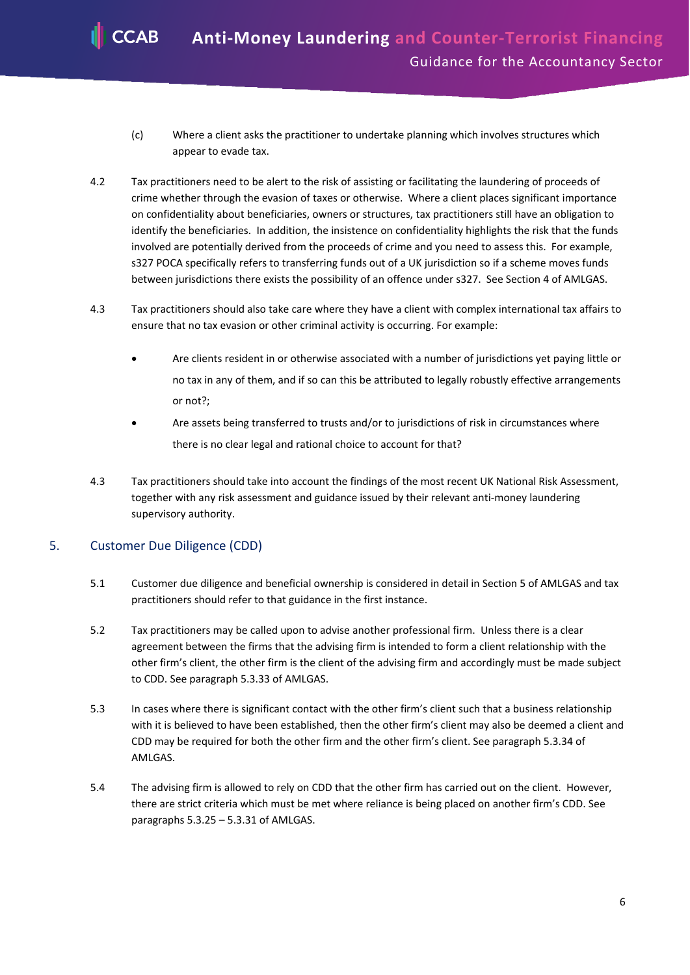**Anti-Money Laundering and Counter-Terrorist Financing** Guidance for the Accountancy Sector

- (c) Where a client asks the practitioner to undertake planning which involves structures which appear to evade tax.
- 4.2 Tax practitioners need to be alert to the risk of assisting or facilitating the laundering of proceeds of crime whether through the evasion of taxes or otherwise. Where a client places significant importance on confidentiality about beneficiaries, owners or structures, tax practitioners still have an obligation to identify the beneficiaries. In addition, the insistence on confidentiality highlights the risk that the funds involved are potentially derived from the proceeds of crime and you need to assess this. For example, s327 POCA specifically refers to transferring funds out of a UK jurisdiction so if a scheme moves funds between jurisdictions there exists the possibility of an offence under s327. See Section 4 of AMLGAS.
- 4.3 Tax practitioners should also take care where they have a client with complex international tax affairs to ensure that no tax evasion or other criminal activity is occurring. For example:
	- Are clients resident in or otherwise associated with a number of jurisdictions yet paying little or no tax in any of them, and if so can this be attributed to legally robustly effective arrangements or not?;
	- Are assets being transferred to trusts and/or to jurisdictions of risk in circumstances where there is no clear legal and rational choice to account for that?
- 4.3 Tax practitioners should take into account the findings of the most recent UK National Risk Assessment, together with any risk assessment and guidance issued by their relevant anti-money laundering supervisory authority.

# <span id="page-5-0"></span>5. Customer Due Diligence (CDD)

**CCAB** 

- 5.1 Customer due diligence and beneficial ownership is considered in detail in Section 5 of AMLGAS and tax practitioners should refer to that guidance in the first instance.
- 5.2 Tax practitioners may be called upon to advise another professional firm. Unless there is a clear agreement between the firms that the advising firm is intended to form a client relationship with the other firm's client, the other firm is the client of the advising firm and accordingly must be made subject to CDD. See paragraph 5.3.33 of AMLGAS.
- 5.3 In cases where there is significant contact with the other firm's client such that a business relationship with it is believed to have been established, then the other firm's client may also be deemed a client and CDD may be required for both the other firm and the other firm's client. See paragraph 5.3.34 of AMLGAS.
- 5.4 The advising firm is allowed to rely on CDD that the other firm has carried out on the client. However, there are strict criteria which must be met where reliance is being placed on another firm's CDD. See paragraphs 5.3.25 – 5.3.31 of AMLGAS.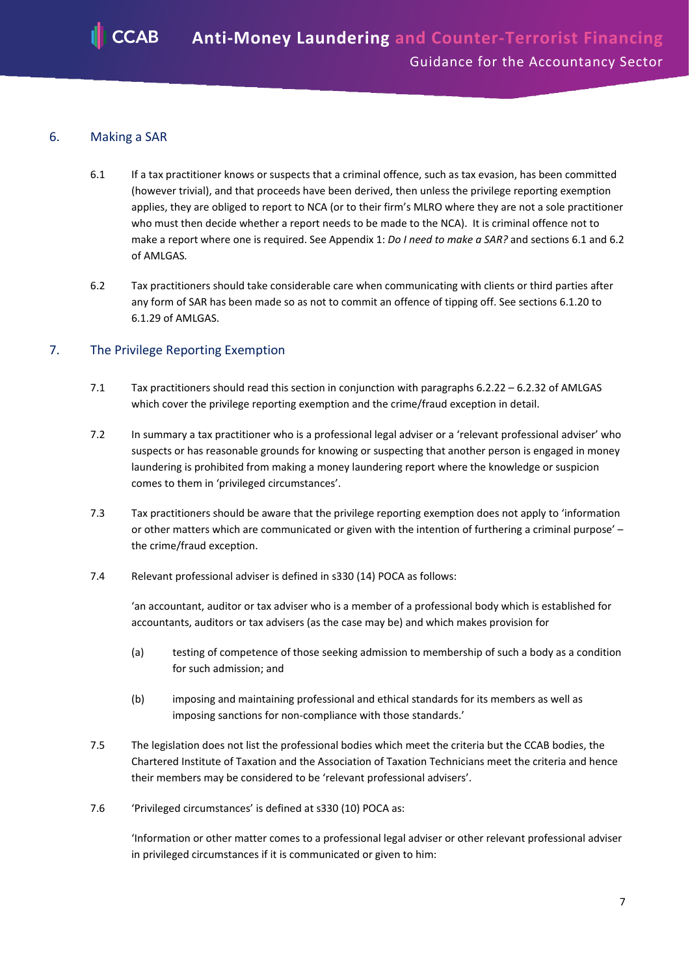

### <span id="page-6-0"></span>6. Making a SAR

- 6.1 If a tax practitioner knows or suspects that a criminal offence, such as tax evasion, has been committed (however trivial), and that proceeds have been derived, then unless the privilege reporting exemption applies, they are obliged to report to NCA (or to their firm's MLRO where they are not a sole practitioner who must then decide whether a report needs to be made to the NCA). It is criminal offence not to make a report where one is required. See Appendix 1: *Do I need to make a SAR?* and sections 6.1 and 6.2 of AMLGAS*.*
- 6.2 Tax practitioners should take considerable care when communicating with clients or third parties after any form of SAR has been made so as not to commit an offence of tipping off. See sections 6.1.20 to 6.1.29 of AMLGAS.

## <span id="page-6-1"></span>7. The Privilege Reporting Exemption

- 7.1 Tax practitioners should read this section in conjunction with paragraphs 6.2.22 6.2.32 of AMLGAS which cover the privilege reporting exemption and the crime/fraud exception in detail.
- 7.2 In summary a tax practitioner who is a professional legal adviser or a 'relevant professional adviser' who suspects or has reasonable grounds for knowing or suspecting that another person is engaged in money laundering is prohibited from making a money laundering report where the knowledge or suspicion comes to them in 'privileged circumstances'.
- 7.3 Tax practitioners should be aware that the privilege reporting exemption does not apply to 'information or other matters which are communicated or given with the intention of furthering a criminal purpose' – the crime/fraud exception.
- 7.4 Relevant professional adviser is defined in s330 (14) POCA as follows:

'an accountant, auditor or tax adviser who is a member of a professional body which is established for accountants, auditors or tax advisers (as the case may be) and which makes provision for

- (a) testing of competence of those seeking admission to membership of such a body as a condition for such admission; and
- (b) imposing and maintaining professional and ethical standards for its members as well as imposing sanctions for non-compliance with those standards.'
- 7.5 The legislation does not list the professional bodies which meet the criteria but the CCAB bodies, the Chartered Institute of Taxation and the Association of Taxation Technicians meet the criteria and hence their members may be considered to be 'relevant professional advisers'.
- 7.6 'Privileged circumstances' is defined at s330 (10) POCA as:

'Information or other matter comes to a professional legal adviser or other relevant professional adviser in privileged circumstances if it is communicated or given to him: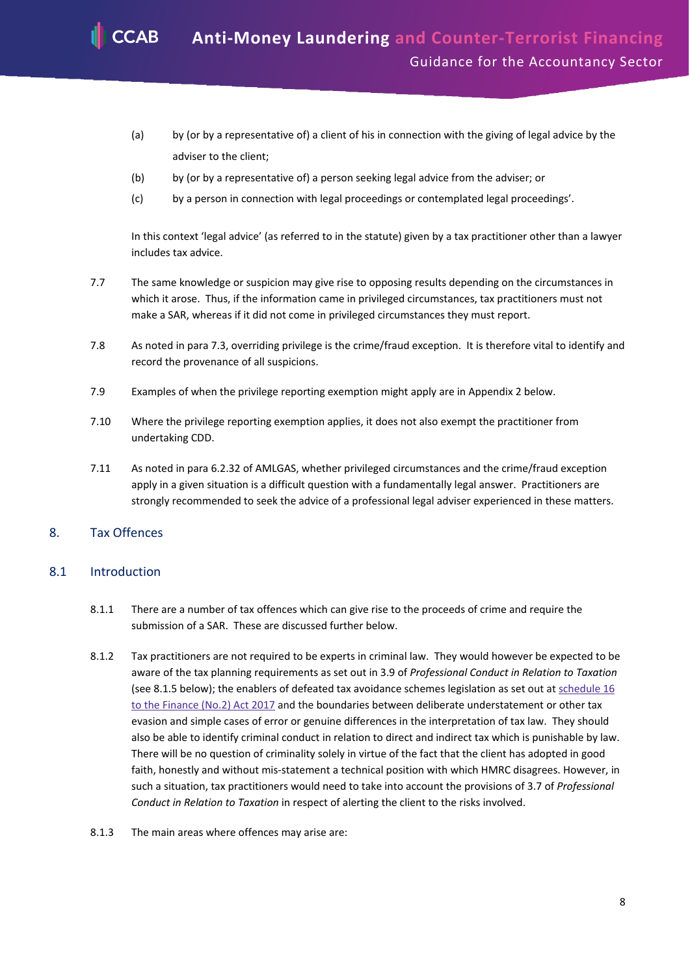**Anti-Money Laundering and Counter-Terrorist Financing** Guidance for the Accountancy Sector

- (a) by (or by a representative of) a client of his in connection with the giving of legal advice by the adviser to the client;
- (b) by (or by a representative of) a person seeking legal advice from the adviser; or
- (c) by a person in connection with legal proceedings or contemplated legal proceedings'.

In this context 'legal advice' (as referred to in the statute) given by a tax practitioner other than a lawyer includes tax advice.

- 7.7 The same knowledge or suspicion may give rise to opposing results depending on the circumstances in which it arose. Thus, if the information came in privileged circumstances, tax practitioners must not make a SAR, whereas if it did not come in privileged circumstances they must report.
- 7.8 As noted in para 7.3, overriding privilege is the crime/fraud exception. It is therefore vital to identify and record the provenance of all suspicions.
- 7.9 Examples of when the privilege reporting exemption might apply are in Appendix 2 below.
- 7.10 Where the privilege reporting exemption applies, it does not also exempt the practitioner from undertaking CDD.
- 7.11 As noted in para 6.2.32 of AMLGAS, whether privileged circumstances and the crime/fraud exception apply in a given situation is a difficult question with a fundamentally legal answer. Practitioners are strongly recommended to seek the advice of a professional legal adviser experienced in these matters.

### <span id="page-7-0"></span>8. Tax Offences

**CCAB** 

#### 8.1 Introduction

- 8.1.1 There are a number of tax offences which can give rise to the proceeds of crime and require the submission of a SAR. These are discussed further below.
- 8.1.2 Tax practitioners are not required to be experts in criminal law. They would however be expected to be aware of the tax planning requirements as set out in 3.9 of *Professional Conduct in Relation to Taxation* (see 8.1.5 below); the enablers of defeated tax avoidance schemes legislation as set out at [schedule](http://www.legislation.gov.uk/ukpga/2017/32/schedule/16/enacted) 16 [to the Finance](http://www.legislation.gov.uk/ukpga/2017/32/schedule/16/enacted) (No.2) Act 2017 and the boundaries between deliberate understatement or other tax evasion and simple cases of error or genuine differences in the interpretation of tax law. They should also be able to identify criminal conduct in relation to direct and indirect tax which is punishable by law. There will be no question of criminality solely in virtue of the fact that the client has adopted in good faith, honestly and without mis-statement a technical position with which HMRC disagrees. However, in such a situation, tax practitioners would need to take into account the provisions of 3.7 of *Professional Conduct in Relation to Taxation* in respect of alerting the client to the risks involved.
- 8.1.3 The main areas where offences may arise are: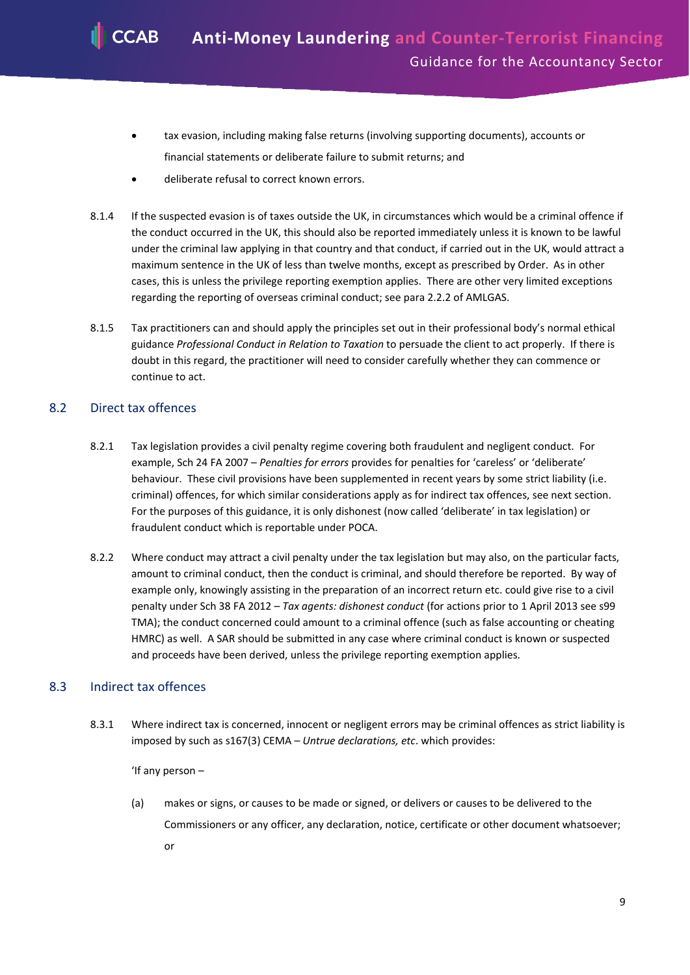- tax evasion, including making false returns (involving supporting documents), accounts or financial statements or deliberate failure to submit returns; and
- deliberate refusal to correct known errors.
- 8.1.4 If the suspected evasion is of taxes outside the UK, in circumstances which would be a criminal offence if the conduct occurred in the UK, this should also be reported immediately unless it is known to be lawful under the criminal law applying in that country and that conduct, if carried out in the UK, would attract a maximum sentence in the UK of less than twelve months, except as prescribed by Order.As in other cases, this is unless the privilege reporting exemption applies. There are other very limited exceptions regarding the reporting of overseas criminal conduct; see para 2.2.2 of AMLGAS.
- 8.1.5 Tax practitioners can and should apply the principles set out in their professional body's normal ethical guidance *Professional Conduct in Relation to Taxation* to persuade the client to act properly. If there is doubt in this regard, the practitioner will need to consider carefully whether they can commence or continue to act.

# 8.2 Direct tax offences

- 8.2.1 Tax legislation provides a civil penalty regime covering both fraudulent and negligent conduct. For example, Sch 24 FA 2007 – *Penalties for errors* provides for penalties for 'careless' or 'deliberate' behaviour. These civil provisions have been supplemented in recent years by some strict liability (i.e. criminal) offences, for which similar considerations apply as for indirect tax offences, see next section. For the purposes of this guidance, it is only dishonest (now called 'deliberate' in tax legislation) or fraudulent conduct which is reportable under POCA.
- 8.2.2 Where conduct may attract a civil penalty under the tax legislation but may also, on the particular facts, amount to criminal conduct, then the conduct is criminal, and should therefore be reported. By way of example only, knowingly assisting in the preparation of an incorrect return etc. could give rise to a civil penalty under Sch 38 FA 2012 – *Tax agents: dishonest conduct* (for actions prior to 1 April 2013 see s99 TMA); the conduct concerned could amount to a criminal offence (such as false accounting or cheating HMRC) as well. A SAR should be submitted in any case where criminal conduct is known or suspected and proceeds have been derived, unless the privilege reporting exemption applies.

# 8.3 Indirect tax offences

8.3.1 Where indirect tax is concerned, innocent or negligent errors may be criminal offences as strict liability is imposed by such as s167(3) CEMA – *Untrue declarations, etc*. which provides:

'If any person –

(a) makes or signs, or causes to be made or signed, or delivers or causes to be delivered to the Commissioners or any officer, any declaration, notice, certificate or other document whatsoever; or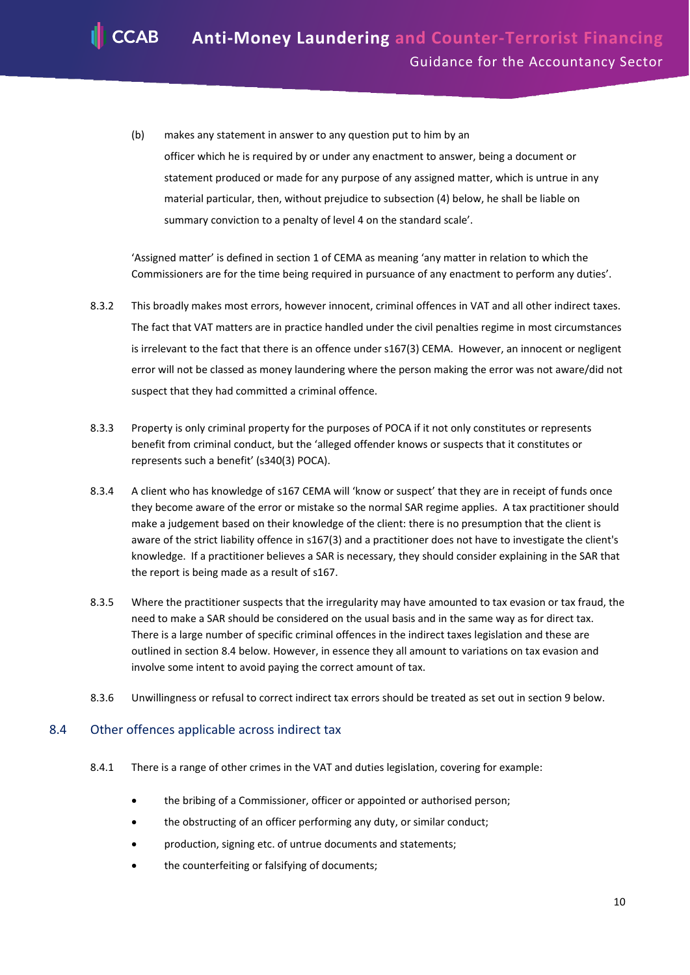(b) makes any statement in answer to any question put to him by an officer which he is required by or under any enactment to answer, being a document or statement produced or made for any purpose of any assigned matter, which is untrue in any material particular, then, without prejudice to subsection (4) below, he shall be liable on summary conviction to a penalty of level 4 on the standard scale'.

'Assigned matter' is defined in section 1 of CEMA as meaning 'any matter in relation to which the Commissioners are for the time being required in pursuance of any enactment to perform any duties'.

- 8.3.2 This broadly makes most errors, however innocent, criminal offences in VAT and all other indirect taxes. The fact that VAT matters are in practice handled under the civil penalties regime in most circumstances is irrelevant to the fact that there is an offence under s167(3) CEMA. However, an innocent or negligent error will not be classed as money laundering where the person making the error was not aware/did not suspect that they had committed a criminal offence.
- 8.3.3 Property is only criminal property for the purposes of POCA if it not only constitutes or represents benefit from criminal conduct, but the 'alleged offender knows or suspects that it constitutes or represents such a benefit' (s340(3) POCA).
- 8.3.4 A client who has knowledge of s167 CEMA will 'know or suspect' that they are in receipt of funds once they become aware of the error or mistake so the normal SAR regime applies. A tax practitioner should make a judgement based on their knowledge of the client: there is no presumption that the client is aware of the strict liability offence in s167(3) and a practitioner does not have to investigate the client's knowledge. If a practitioner believes a SAR is necessary, they should consider explaining in the SAR that the report is being made as a result of s167.
- 8.3.5 Where the practitioner suspects that the irregularity may have amounted to tax evasion or tax fraud, the need to make a SAR should be considered on the usual basis and in the same way as for direct tax. There is a large number of specific criminal offences in the indirect taxes legislation and these are outlined in section 8.4 below. However, in essence they all amount to variations on tax evasion and involve some intent to avoid paying the correct amount of tax.
- 8.3.6 Unwillingness or refusal to correct indirect tax errors should be treated as set out in section 9 below.

### 8.4 Other offences applicable across indirect tax

**CCAB** 

- 8.4.1 There is a range of other crimes in the VAT and duties legislation, covering for example:
	- the bribing of a Commissioner, officer or appointed or authorised person;
	- the obstructing of an officer performing any duty, or similar conduct;
	- production, signing etc. of untrue documents and statements;
	- the counterfeiting or falsifying of documents;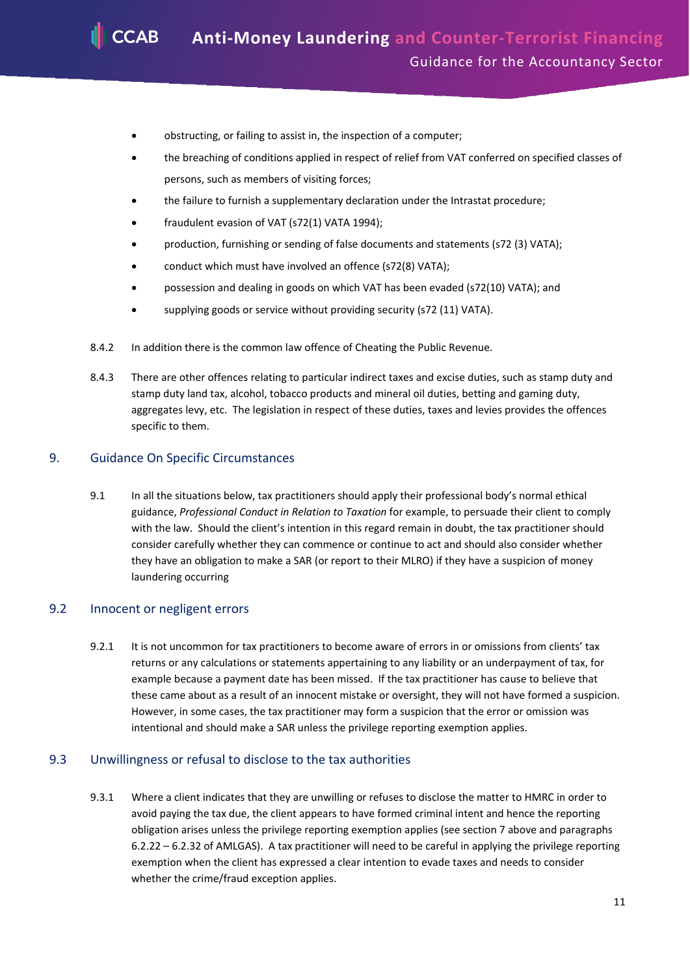- obstructing, or failing to assist in, the inspection of a computer;
- the breaching of conditions applied in respect of relief from VAT conferred on specified classes of persons, such as members of visiting forces;
- the failure to furnish a supplementary declaration under the Intrastat procedure;
- fraudulent evasion of VAT (s72(1) VATA 1994);
- production, furnishing or sending of false documents and statements (s72 (3) VATA);
- conduct which must have involved an offence (s72(8) VATA);
- possession and dealing in goods on which VAT has been evaded (s72(10) VATA); and
- supplying goods or service without providing security (s72 (11) VATA).
- 8.4.2 In addition there is the common law offence of Cheating the Public Revenue.
- 8.4.3 There are other offences relating to particular indirect taxes and excise duties, such as stamp duty and stamp duty land tax, alcohol, tobacco products and mineral oil duties, betting and gaming duty, aggregates levy, etc. The legislation in respect of these duties, taxes and levies provides the offences specific to them.

#### <span id="page-10-0"></span>9. Guidance On Specific Circumstances

9.1 In all the situations below, tax practitioners should apply their professional body's normal ethical guidance, *Professional Conduct in Relation to Taxation* for example, to persuade their client to comply with the law. Should the client's intention in this regard remain in doubt, the tax practitioner should consider carefully whether they can commence or continue to act and should also consider whether they have an obligation to make a SAR (or report to their MLRO) if they have a suspicion of money laundering occurring

## 9.2 Innocent or negligent errors

9.2.1 It is not uncommon for tax practitioners to become aware of errors in or omissions from clients' tax returns or any calculations or statements appertaining to any liability or an underpayment of tax, for example because a payment date has been missed. If the tax practitioner has cause to believe that these came about as a result of an innocent mistake or oversight, they will not have formed a suspicion. However, in some cases, the tax practitioner may form a suspicion that the error or omission was intentional and should make a SAR unless the privilege reporting exemption applies.

#### 9.3 Unwillingness or refusal to disclose to the tax authorities

9.3.1 Where a client indicates that they are unwilling or refuses to disclose the matter to HMRC in order to avoid paying the tax due, the client appears to have formed criminal intent and hence the reporting obligation arises unless the privilege reporting exemption applies (see section 7 above and paragraphs 6.2.22 – 6.2.32 of AMLGAS). A tax practitioner will need to be careful in applying the privilege reporting exemption when the client has expressed a clear intention to evade taxes and needs to consider whether the crime/fraud exception applies.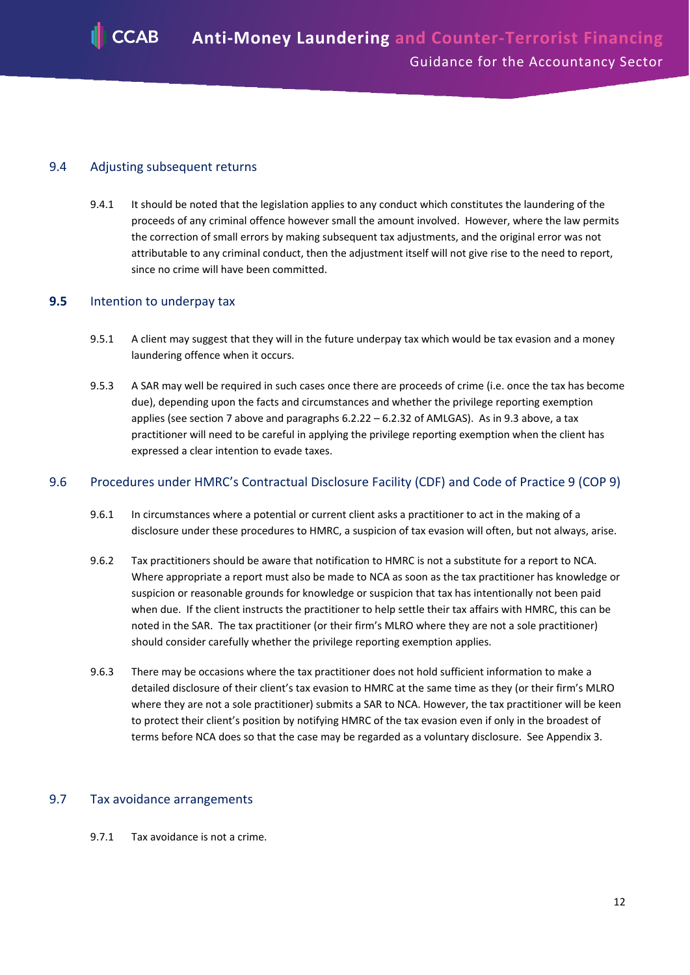## 9.4 Adjusting subsequent returns

9.4.1 It should be noted that the legislation applies to any conduct which constitutes the laundering of the proceeds of any criminal offence however small the amount involved. However, where the law permits the correction of small errors by making subsequent tax adjustments, and the original error was not attributable to any criminal conduct, then the adjustment itself will not give rise to the need to report, since no crime will have been committed.

#### **9.5** Intention to underpay tax

- 9.5.1 A client may suggest that they will in the future underpay tax which would be tax evasion and a money laundering offence when it occurs.
- 9.5.3 A SAR may well be required in such cases once there are proceeds of crime (i.e. once the tax has become due), depending upon the facts and circumstances and whether the privilege reporting exemption applies (see section 7 above and paragraphs 6.2.22 – 6.2.32 of AMLGAS). As in 9.3 above, a tax practitioner will need to be careful in applying the privilege reporting exemption when the client has expressed a clear intention to evade taxes.

### 9.6 Procedures under HMRC's Contractual Disclosure Facility (CDF) and Code of Practice 9 (COP 9)

- 9.6.1 In circumstances where a potential or current client asks a practitioner to act in the making of a disclosure under these procedures to HMRC, a suspicion of tax evasion will often, but not always, arise.
- 9.6.2 Tax practitioners should be aware that notification to HMRC is not a substitute for a report to NCA. Where appropriate a report must also be made to NCA as soon as the tax practitioner has knowledge or suspicion or reasonable grounds for knowledge or suspicion that tax has intentionally not been paid when due. If the client instructs the practitioner to help settle their tax affairs with HMRC, this can be noted in the SAR. The tax practitioner (or their firm's MLRO where they are not a sole practitioner) should consider carefully whether the privilege reporting exemption applies.
- 9.6.3 There may be occasions where the tax practitioner does not hold sufficient information to make a detailed disclosure of their client's tax evasion to HMRC at the same time as they (or their firm's MLRO where they are not a sole practitioner) submits a SAR to NCA. However, the tax practitioner will be keen to protect their client's position by notifying HMRC of the tax evasion even if only in the broadest of terms before NCA does so that the case may be regarded as a voluntary disclosure. See Appendix 3.

### 9.7 Tax avoidance arrangements

9.7.1 Tax avoidance is not a crime.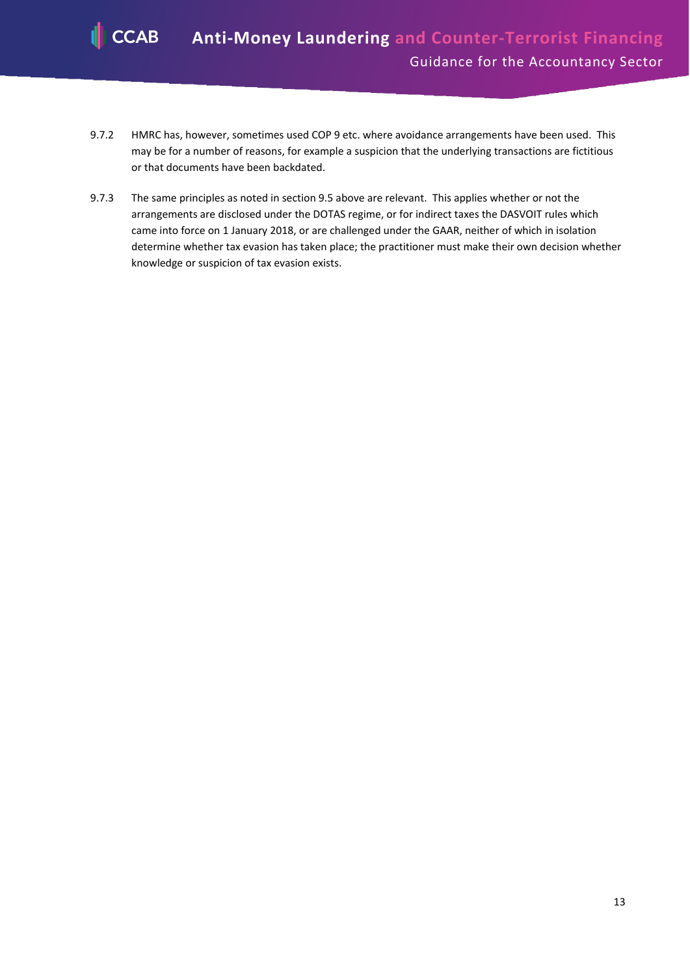

- 9.7.2 HMRC has, however, sometimes used COP 9 etc. where avoidance arrangements have been used. This may be for a number of reasons, for example a suspicion that the underlying transactions are fictitious or that documents have been backdated.
- 9.7.3 The same principles as noted in section 9.5 above are relevant. This applies whether or not the arrangements are disclosed under the DOTAS regime, or for indirect taxes the DASVOIT rules which came into force on 1 January 2018, or are challenged under the GAAR, neither of which in isolation determine whether tax evasion has taken place; the practitioner must make their own decision whether knowledge or suspicion of tax evasion exists.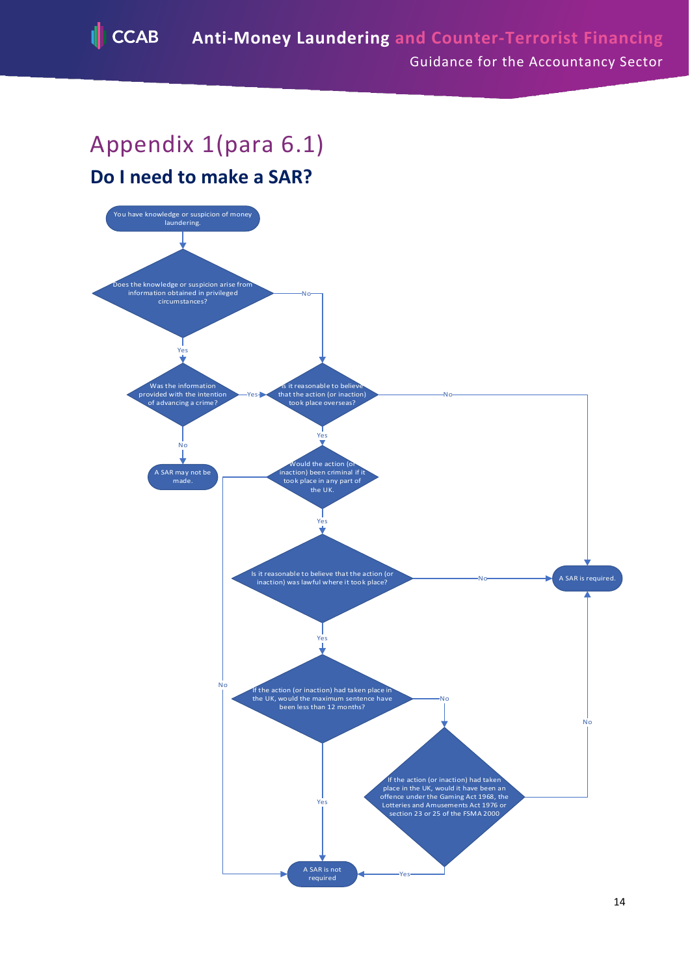# <span id="page-13-0"></span>Appendix 1(para 6.1) **Do I need to make a SAR?**

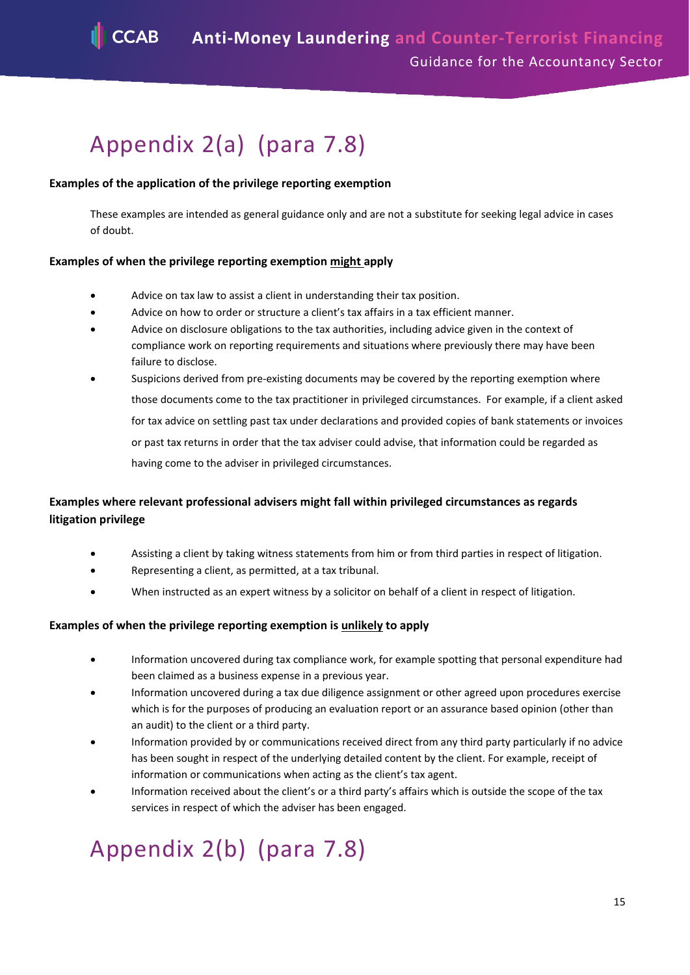# <span id="page-14-0"></span>Appendix 2(a) (para 7.8)

## **Examples of the application of the privilege reporting exemption**

These examples are intended as general guidance only and are not a substitute for seeking legal advice in cases of doubt.

## **Examples of when the privilege reporting exemption might apply**

- Advice on tax law to assist a client in understanding their tax position.
- Advice on how to order or structure a client's tax affairs in a tax efficient manner.
- Advice on disclosure obligations to the tax authorities, including advice given in the context of compliance work on reporting requirements and situations where previously there may have been failure to disclose.
- Suspicions derived from pre-existing documents may be covered by the reporting exemption where those documents come to the tax practitioner in privileged circumstances. For example, if a client asked for tax advice on settling past tax under declarations and provided copies of bank statements or invoices or past tax returns in order that the tax adviser could advise, that information could be regarded as having come to the adviser in privileged circumstances.

# **Examples where relevant professional advisers might fall within privileged circumstances as regards litigation privilege**

- Assisting a client by taking witness statements from him or from third parties in respect of litigation.
- Representing a client, as permitted, at a tax tribunal.
- When instructed as an expert witness by a solicitor on behalf of a client in respect of litigation.

# **Examples of when the privilege reporting exemption is unlikely to apply**

- Information uncovered during tax compliance work, for example spotting that personal expenditure had been claimed as a business expense in a previous year.
- Information uncovered during a tax due diligence assignment or other agreed upon procedures exercise which is for the purposes of producing an evaluation report or an assurance based opinion (other than an audit) to the client or a third party.
- Information provided by or communications received direct from any third party particularly if no advice has been sought in respect of the underlying detailed content by the client. For example, receipt of information or communications when acting as the client's tax agent.
- Information received about the client's or a third party's affairs which is outside the scope of the tax services in respect of which the adviser has been engaged.

# Appendix 2(b) (para 7.8)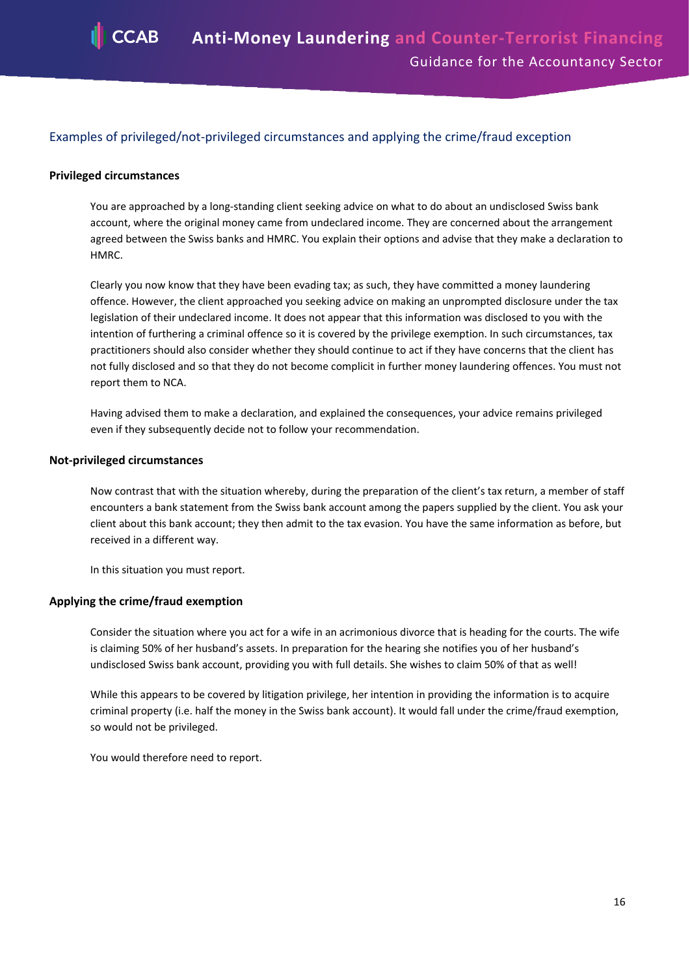# Examples of privileged/not-privileged circumstances and applying the crime/fraud exception

#### **Privileged circumstances**

You are approached by a long-standing client seeking advice on what to do about an undisclosed Swiss bank account, where the original money came from undeclared income. They are concerned about the arrangement agreed between the Swiss banks and HMRC. You explain their options and advise that they make a declaration to HMRC.

Clearly you now know that they have been evading tax; as such, they have committed a money laundering offence. However, the client approached you seeking advice on making an unprompted disclosure under the tax legislation of their undeclared income. It does not appear that this information was disclosed to you with the intention of furthering a criminal offence so it is covered by the privilege exemption. In such circumstances, tax practitioners should also consider whether they should continue to act if they have concerns that the client has not fully disclosed and so that they do not become complicit in further money laundering offences. You must not report them to NCA.

Having advised them to make a declaration, and explained the consequences, your advice remains privileged even if they subsequently decide not to follow your recommendation.

#### **Not-privileged circumstances**

Now contrast that with the situation whereby, during the preparation of the client's tax return, a member of staff encounters a bank statement from the Swiss bank account among the papers supplied by the client. You ask your client about this bank account; they then admit to the tax evasion. You have the same information as before, but received in a different way.

In this situation you must report.

#### **Applying the crime/fraud exemption**

Consider the situation where you act for a wife in an acrimonious divorce that is heading for the courts. The wife is claiming 50% of her husband's assets. In preparation for the hearing she notifies you of her husband's undisclosed Swiss bank account, providing you with full details. She wishes to claim 50% of that as well!

While this appears to be covered by litigation privilege, her intention in providing the information is to acquire criminal property (i.e. half the money in the Swiss bank account). It would fall under the crime/fraud exemption, so would not be privileged.

You would therefore need to report.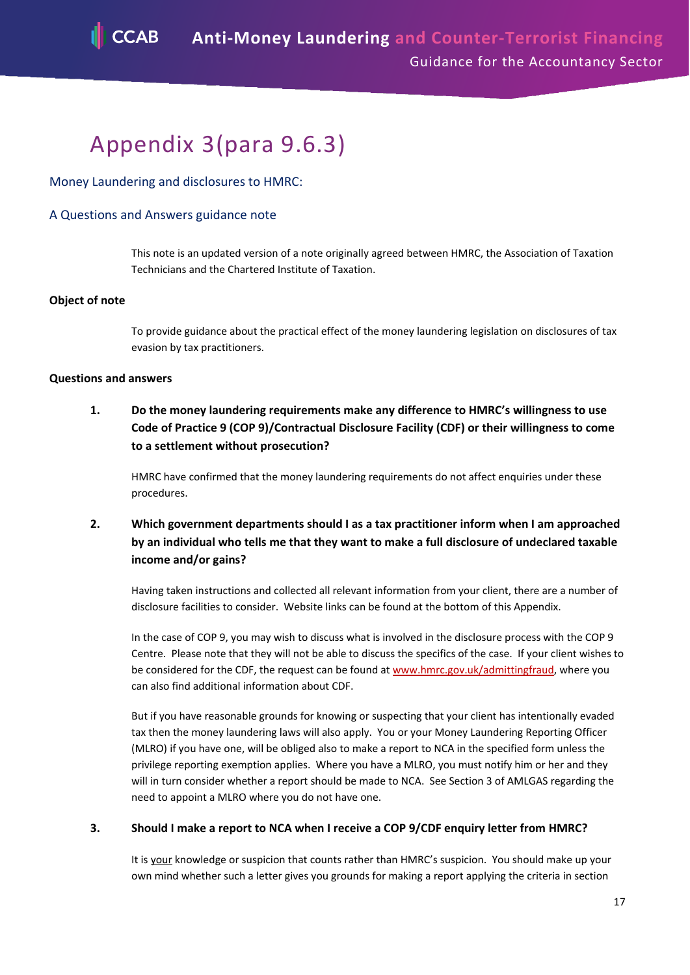# <span id="page-16-0"></span>Appendix 3(para 9.6.3)

# Money Laundering and disclosures to HMRC:

# A Questions and Answers guidance note

This note is an updated version of a note originally agreed between HMRC, the Association of Taxation Technicians and the Chartered Institute of Taxation.

#### **Object of note**

To provide guidance about the practical effect of the money laundering legislation on disclosures of tax evasion by tax practitioners.

#### **Questions and answers**

**1. Do the money laundering requirements make any difference to HMRC's willingness to use Code of Practice 9 (COP 9)/Contractual Disclosure Facility (CDF) or their willingness to come to a settlement without prosecution?**

HMRC have confirmed that the money laundering requirements do not affect enquiries under these procedures.

# **2. Which government departments should I as a tax practitioner inform when I am approached by an individual who tells me that they want to make a full disclosure of undeclared taxable income and/or gains?**

Having taken instructions and collected all relevant information from your client, there are a number of disclosure facilities to consider. Website links can be found at the bottom of this Appendix.

In the case of COP 9, you may wish to discuss what is involved in the disclosure process with the COP 9 Centre. Please note that they will not be able to discuss the specifics of the case. If your client wishes to be considered for the CDF, the request can be found at [www.hmrc.gov.uk/admittingfraud,](http://www.hmrc.gov.uk/admittingfraud) where you can also find additional information about CDF.

But if you have reasonable grounds for knowing or suspecting that your client has intentionally evaded tax then the money laundering laws will also apply. You or your Money Laundering Reporting Officer (MLRO) if you have one, will be obliged also to make a report to NCA in the specified form unless the privilege reporting exemption applies. Where you have a MLRO, you must notify him or her and they will in turn consider whether a report should be made to NCA. See Section 3 of AMLGAS regarding the need to appoint a MLRO where you do not have one.

#### **3. Should I make a report to NCA when I receive a COP 9/CDF enquiry letter from HMRC?**

It is your knowledge or suspicion that counts rather than HMRC's suspicion. You should make up your own mind whether such a letter gives you grounds for making a report applying the criteria in section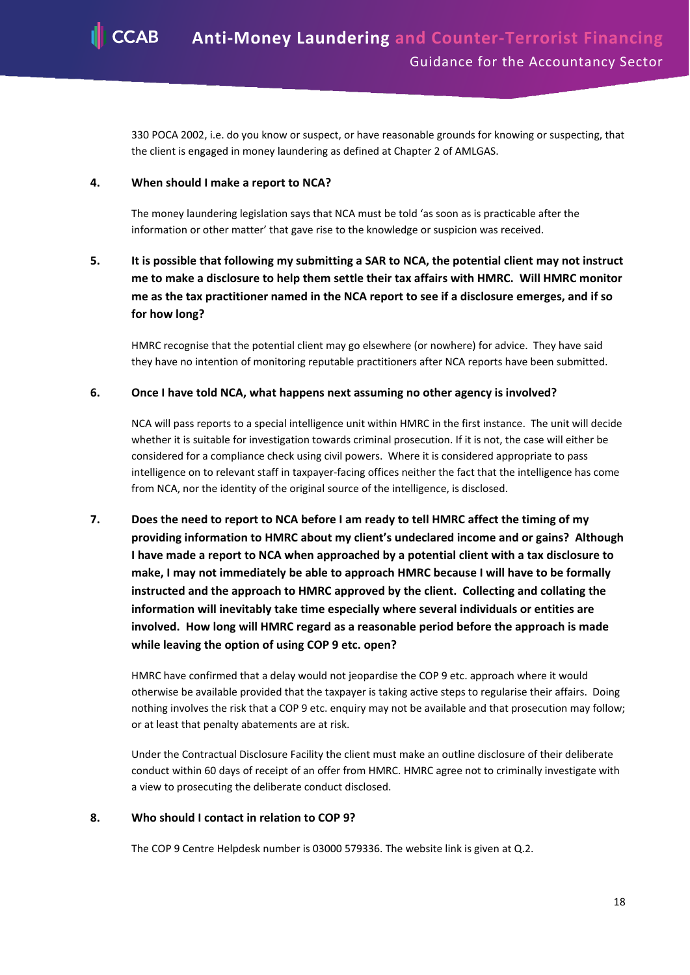330 POCA 2002, i.e. do you know or suspect, or have reasonable grounds for knowing or suspecting, that the client is engaged in money laundering as defined at Chapter 2 of AMLGAS.

#### **4. When should I make a report to NCA?**

The money laundering legislation says that NCA must be told 'as soon as is practicable after the information or other matter' that gave rise to the knowledge or suspicion was received.

# **5. It is possible that following my submitting a SAR to NCA, the potential client may not instruct me to make a disclosure to help them settle their tax affairs with HMRC. Will HMRC monitor me as the tax practitioner named in the NCA report to see if a disclosure emerges, and if so for how long?**

HMRC recognise that the potential client may go elsewhere (or nowhere) for advice. They have said they have no intention of monitoring reputable practitioners after NCA reports have been submitted.

#### **6. Once I have told NCA, what happens next assuming no other agency is involved?**

NCA will pass reports to a special intelligence unit within HMRC in the first instance. The unit will decide whether it is suitable for investigation towards criminal prosecution. If it is not, the case will either be considered for a compliance check using civil powers. Where it is considered appropriate to pass intelligence on to relevant staff in taxpayer-facing offices neither the fact that the intelligence has come from NCA, nor the identity of the original source of the intelligence, is disclosed.

**7. Does the need to report to NCA before I am ready to tell HMRC affect the timing of my providing information to HMRC about my client's undeclared income and or gains? Although I have made a report to NCA when approached by a potential client with a tax disclosure to make, I may not immediately be able to approach HMRC because I will have to be formally instructed and the approach to HMRC approved by the client. Collecting and collating the information will inevitably take time especially where several individuals or entities are involved. How long will HMRC regard as a reasonable period before the approach is made while leaving the option of using COP 9 etc. open?**

HMRC have confirmed that a delay would not jeopardise the COP 9 etc. approach where it would otherwise be available provided that the taxpayer is taking active steps to regularise their affairs. Doing nothing involves the risk that a COP 9 etc. enquiry may not be available and that prosecution may follow; or at least that penalty abatements are at risk.

Under the Contractual Disclosure Facility the client must make an outline disclosure of their deliberate conduct within 60 days of receipt of an offer from HMRC. HMRC agree not to criminally investigate with a view to prosecuting the deliberate conduct disclosed.

#### **8. Who should I contact in relation to COP 9?**

The COP 9 Centre Helpdesk number is 03000 579336. The website link is given at Q.2.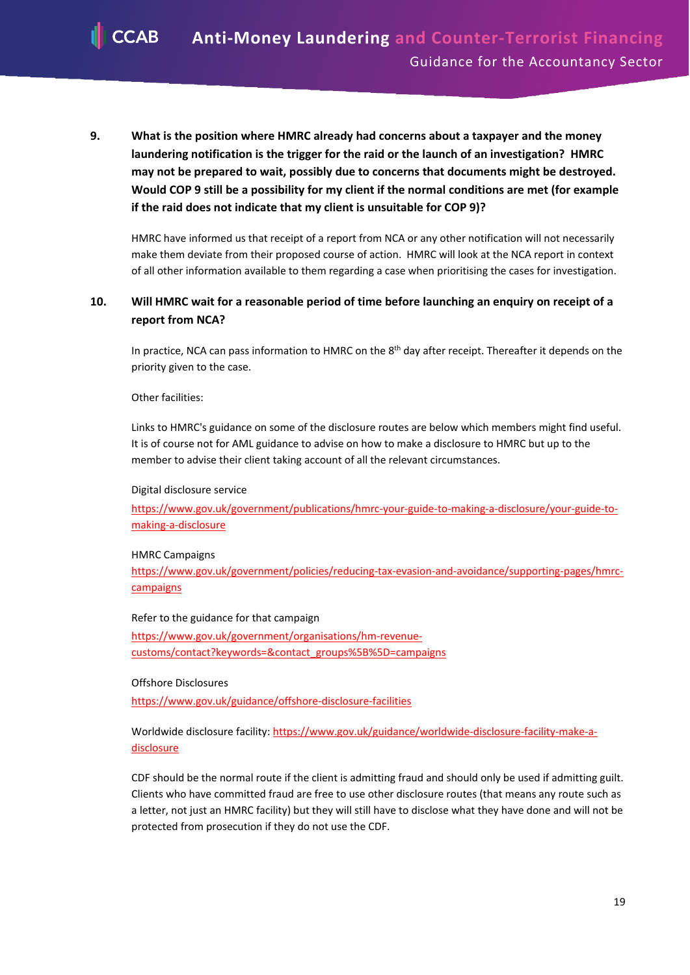**CCAB Anti-Money Laundering and Counter-Terrorist Financing** Guidance for the Accountancy Sector

**9. What is the position where HMRC already had concerns about a taxpayer and the money laundering notification is the trigger for the raid or the launch of an investigation? HMRC may not be prepared to wait, possibly due to concerns that documents might be destroyed. Would COP 9 still be a possibility for my client if the normal conditions are met (for example if the raid does not indicate that my client is unsuitable for COP 9)?**

HMRC have informed us that receipt of a report from NCA or any other notification will not necessarily make them deviate from their proposed course of action. HMRC will look at the NCA report in context of all other information available to them regarding a case when prioritising the cases for investigation.

# **10. Will HMRC wait for a reasonable period of time before launching an enquiry on receipt of a report from NCA?**

In practice, NCA can pass information to HMRC on the 8<sup>th</sup> day after receipt. Thereafter it depends on the priority given to the case.

#### Other facilities:

Links to HMRC's guidance on some of the disclosure routes are below which members might find useful. It is of course not for AML guidance to advise on how to make a disclosure to HMRC but up to the member to advise their client taking account of all the relevant circumstances.

#### Digital disclosure service

[https://www.gov.uk/government/publications/hmrc-your-guide-to-making-a-disclosure/your-guide-to](https://www.gov.uk/government/publications/hmrc-your-guide-to-making-a-disclosure/your-guide-to-making-a-disclosure)[making-a-disclosure](https://www.gov.uk/government/publications/hmrc-your-guide-to-making-a-disclosure/your-guide-to-making-a-disclosure)

#### HMRC Campaigns

[https://www.gov.uk/government/policies/reducing-tax-evasion-and-avoidance/supporting-pages/hmrc](https://www.gov.uk/government/policies/reducing-tax-evasion-and-avoidance/supporting-pages/hmrc-campaigns)[campaigns](https://www.gov.uk/government/policies/reducing-tax-evasion-and-avoidance/supporting-pages/hmrc-campaigns) 

#### Refer to the guidance for that campaign

[https://www.gov.uk/government/organisations/hm-revenue](https://www.gov.uk/government/organisations/hm-revenue-customs/contact?keywords=&contact_groups%5B%5D=campaigns)[customs/contact?keywords=&contact\\_groups%5B%5D=campaigns](https://www.gov.uk/government/organisations/hm-revenue-customs/contact?keywords=&contact_groups%5B%5D=campaigns)

#### Offshore Disclosures

<https://www.gov.uk/guidance/offshore-disclosure-facilities>

# Worldwide disclosure facility[: https://www.gov.uk/guidance/worldwide-disclosure-facility-make-a](https://www.gov.uk/guidance/worldwide-disclosure-facility-make-a-disclosure)**[disclosure](https://www.gov.uk/guidance/worldwide-disclosure-facility-make-a-disclosure)**

CDF should be the normal route if the client is admitting fraud and should only be used if admitting guilt. Clients who have committed fraud are free to use other disclosure routes (that means any route such as a letter, not just an HMRC facility) but they will still have to disclose what they have done and will not be protected from prosecution if they do not use the CDF.